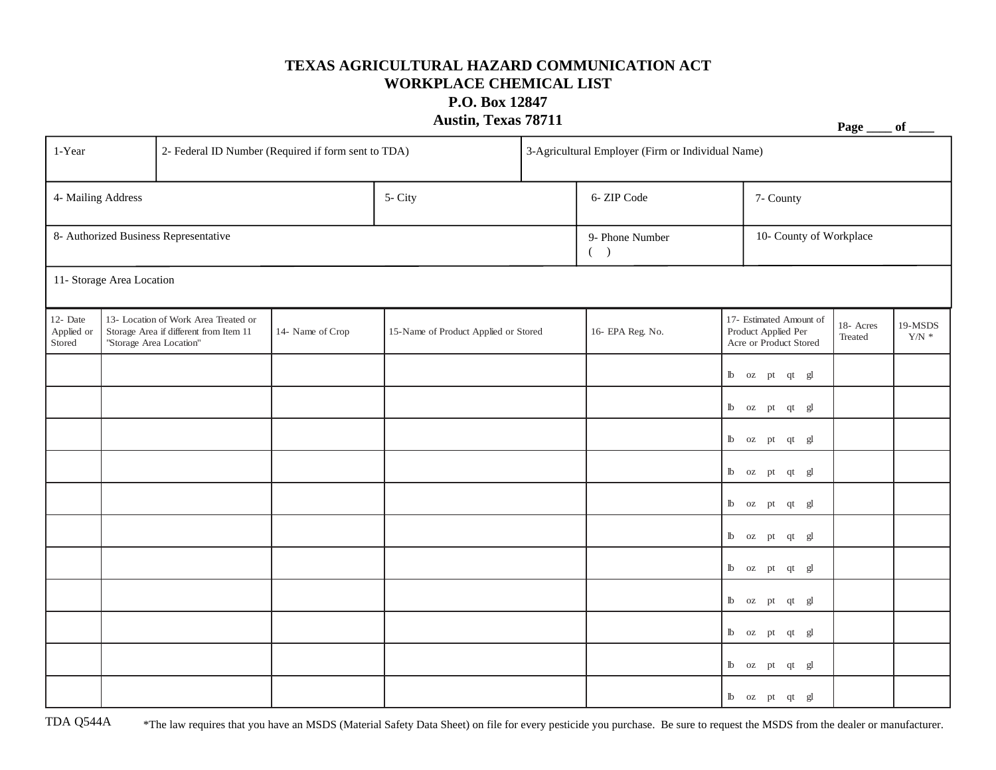## **TEXAS AGRICULTURAL HAZARD COMMUNICATION ACT WORKPLACE CHEMICAL LIST P.O. Box 12847**

## **Austin, Texas 78711 Page \_\_\_\_ of \_\_\_\_**

| 1-Year                                |                                                                                                           | 2- Federal ID Number (Required if form sent to TDA) |                  |                                      |  | 3-Agricultural Employer (Firm or Individual Name) |                         |                                                                                                                                                                                                                                                                                                                                                                                                                                                                                                                |                      |                             |  |  |
|---------------------------------------|-----------------------------------------------------------------------------------------------------------|-----------------------------------------------------|------------------|--------------------------------------|--|---------------------------------------------------|-------------------------|----------------------------------------------------------------------------------------------------------------------------------------------------------------------------------------------------------------------------------------------------------------------------------------------------------------------------------------------------------------------------------------------------------------------------------------------------------------------------------------------------------------|----------------------|-----------------------------|--|--|
| 4- Mailing Address                    |                                                                                                           |                                                     |                  | 5- City                              |  | 6-ZIP Code                                        |                         | 7- County                                                                                                                                                                                                                                                                                                                                                                                                                                                                                                      |                      |                             |  |  |
| 8- Authorized Business Representative |                                                                                                           |                                                     |                  |                                      |  | 9- Phone Number<br>( )                            | 10- County of Workplace |                                                                                                                                                                                                                                                                                                                                                                                                                                                                                                                |                      |                             |  |  |
| 11- Storage Area Location             |                                                                                                           |                                                     |                  |                                      |  |                                                   |                         |                                                                                                                                                                                                                                                                                                                                                                                                                                                                                                                |                      |                             |  |  |
| 12- Date<br>Applied or<br>Stored      | 13- Location of Work Area Treated or<br>Storage Area if different from Item 11<br>"Storage Area Location" |                                                     | 14- Name of Crop | 15-Name of Product Applied or Stored |  | 16- EPA Reg. No.                                  |                         | 17- Estimated Amount of<br>Product Applied Per<br>Acre or Product Stored                                                                                                                                                                                                                                                                                                                                                                                                                                       | 18- Acres<br>Treated | 19-MSDS<br>${\rm Y/N}$ $^*$ |  |  |
|                                       |                                                                                                           |                                                     |                  |                                      |  |                                                   |                         | $\begin{tabular}{llllll} $\mathbb{I} \mathbb{b}$ & $\mathrm{oz}$ & $\mathrm{pt}$ & $\mathrm{qt}$ & $\mathrm{gl}$ \end{tabular}$                                                                                                                                                                                                                                                                                                                                                                                |                      |                             |  |  |
|                                       |                                                                                                           |                                                     |                  |                                      |  |                                                   |                         | $\mathbbm{b}$ oz p<br>t qt $\mathbbm{g} \mathbbm{l}$                                                                                                                                                                                                                                                                                                                                                                                                                                                           |                      |                             |  |  |
|                                       |                                                                                                           |                                                     |                  |                                      |  |                                                   |                         | lb oz pt qt gl                                                                                                                                                                                                                                                                                                                                                                                                                                                                                                 |                      |                             |  |  |
|                                       |                                                                                                           |                                                     |                  |                                      |  |                                                   |                         | lb oz pt qt gl                                                                                                                                                                                                                                                                                                                                                                                                                                                                                                 |                      |                             |  |  |
|                                       |                                                                                                           |                                                     |                  |                                      |  |                                                   |                         | $\begin{tabular}{llllll} $\mathbb{I} \mathbb{b}$ & $\mathrm{oz}$ & $\mathrm{pt}$ & $\mathrm{qt}$ & $\mathrm{gl}$ \end{tabular}$                                                                                                                                                                                                                                                                                                                                                                                |                      |                             |  |  |
|                                       |                                                                                                           |                                                     |                  |                                      |  |                                                   |                         | lb oz pt qt gl                                                                                                                                                                                                                                                                                                                                                                                                                                                                                                 |                      |                             |  |  |
|                                       |                                                                                                           |                                                     |                  |                                      |  |                                                   |                         | $\begin{tabular}{llllll} $\mathbb{I} \mathbb{b}$ & $\mathrm{oz}$ & $\mathrm{pt}$ & $\mathrm{qt}$ & $\mathrm{gl}$ \end{tabular}$                                                                                                                                                                                                                                                                                                                                                                                |                      |                             |  |  |
|                                       |                                                                                                           |                                                     |                  |                                      |  |                                                   |                         | $\begin{tabular}{llllll} $\mathbb{I}$ & $\mathbb{I} \times$ & $\mathbb{I} \times$ & $\mathbb{I} \times$ \\ $\mathbb{I} \times$ & $\mathbb{I} \times$ & $\mathbb{I} \times$ & $\mathbb{I} \times$ \\ $\mathbb{I} \times$ & $\mathbb{I} \times$ & $\mathbb{I} \times$ & $\mathbb{I} \times$ \\ $\mathbb{I} \times$ & $\mathbb{I} \times$ & $\mathbb{I} \times$ & $\mathbb{I} \times$ \\ $\mathbb{I} \times$ & $\mathbb{I} \times$ & $\mathbb{I} \times$ & $\mathbb{I} \times$ & $\mathbb{I} \times$ \\ $\mathbb$ |                      |                             |  |  |
|                                       |                                                                                                           |                                                     |                  |                                      |  |                                                   |                         | $\begin{tabular}{llllll} $\mathbb{I} \mathbb{b}$ & $\mathrm{oz}$ & $\mathrm{pt}$ & $\mathrm{qt}$ & $\mathrm{gl}$ \end{tabular}$                                                                                                                                                                                                                                                                                                                                                                                |                      |                             |  |  |
|                                       |                                                                                                           |                                                     |                  |                                      |  |                                                   |                         | lb oz pt qt gl                                                                                                                                                                                                                                                                                                                                                                                                                                                                                                 |                      |                             |  |  |
|                                       |                                                                                                           |                                                     |                  |                                      |  |                                                   |                         | lb oz pt qt gl                                                                                                                                                                                                                                                                                                                                                                                                                                                                                                 |                      |                             |  |  |

TDA Q544A \*The law requires that you have an MSDS (Material Safety Data Sheet) on file for every pesticide you purchase. Be sure to request the MSDS from the dealer or manufacturer.